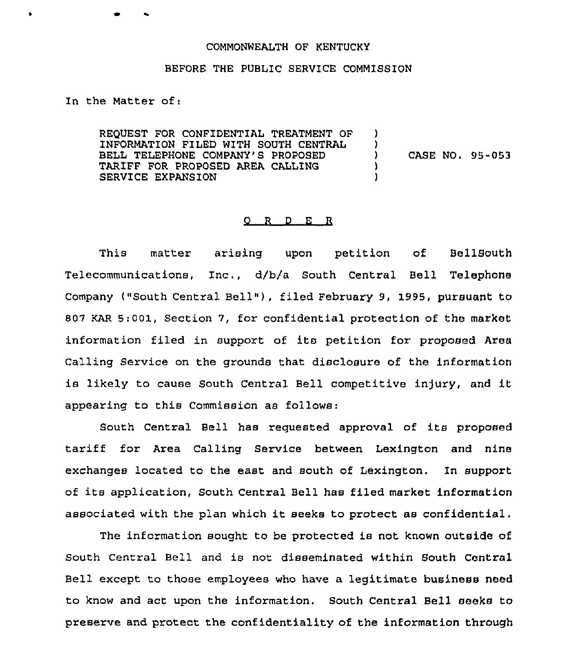## COMMONWEALTH OF KENTUCKY

## BEFORE THE PUBLIC SERVICE COMMISSION

## In the Matter of:

REQUEST FOR CONFIDENTIAL TREATMENT OF INFORMATION FILED WITH SOUTH CENTRAL BELL TELEPHONE COMPANY'S PROPOSED TARIFF FOR PROPOSED AREA CALLING SERVICE EXPANSION ) ) ) CASE NO. 95-053 ) )

## 0 R <sup>D</sup> E R

This matter arising upon petition of BellSouth Telecommunications, Inc., d/b/a South Central Bell Telephone Company ("South Central Bell"), filed February 9, 1995, pursuant to 809 KAR 5:00l, Section 7, for confidential protection of the market information filed in support of its petition for proposed Area Calling Service on the gzounds that disclosure of the information is likely to cause South Central Bell competitive injury, and it appearing to this Commission as follows:

South Centzal Bell has requested approval of its proposed taziff for Area Calling Service between Lexington and nine exchanges located to the east and south of Lexington. In support of its application, South Central Bell has filed market information associated with the plan which it seeks to protect as confidential.

The information sought to be protected is not known outside of South Central Bell and is not disseminated within South Central Bell except to those employees who have a legitimate business need to know and act upon the information. South Central Bell seeks to preserve and protect the confidentiality of the information through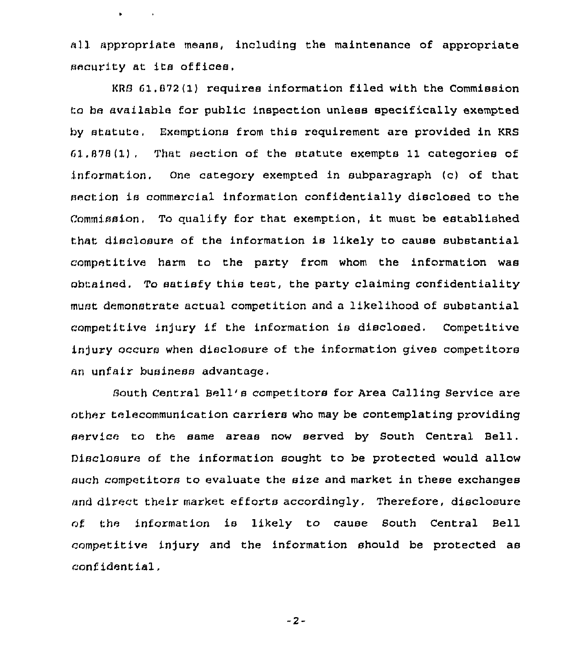a11 appropriate means, including the maintenance of appropriate security at its offices.

 $\mathbf{p} = \left\{ \begin{array}{ll} 0 & \mathbf{p} \in \mathbb{R}^n, \mathbf{p} \in \mathbb{R}^n, \mathbf{p} \in \mathbb{R}^n, \mathbf{p} \in \mathbb{R}^n, \mathbf{p} \in \mathbb{R}^n, \mathbf{p} \in \mathbb{R}^n, \mathbf{p} \in \mathbb{R}^n, \mathbf{p} \in \mathbb{R}^n, \mathbf{p} \in \mathbb{R}^n, \mathbf{p} \in \mathbb{R}^n, \mathbf{p} \in \mathbb{R}^n, \mathbf{p} \in \mathbb{$ 

KRS 61.872(1) requires information filed with the Commission ta be available far public inspectian unless specifically exempted by statute. Exemptions from this requirement are provided in KRS 81.878(1), That section of the statute exempts 11 categories of information, One category exempted in subparagraph (c) of that sectian is commercial infarmation confidentially disclased to the Commission, To qualify for that exemption, it must be established that disclosure of the information is likely to cause substantial competitive harm to the party from whom the information was obtained. To satisfy this test, the party claiming confidentiality must demonstrate actual competition and a likelihood of substantial competitive injury if the information is disclosed. Competitive injury occurs when disclosure of the information gives competitors an unfair business advantage.

South Central Bell's campetitors for Area Calling Service are other telecommunication carriers who may be contemplating providing service ta the same areas now served by South Central Bell. Disclosure af the information sought to be protected would allow such competitors to evaluate the size and market in these exchanges and direct their market efforts accordingly. Therefore, disclosure of the information is likely to cause South Central Bell campetitive injury and the information should be protected as confidential.

 $-2-$